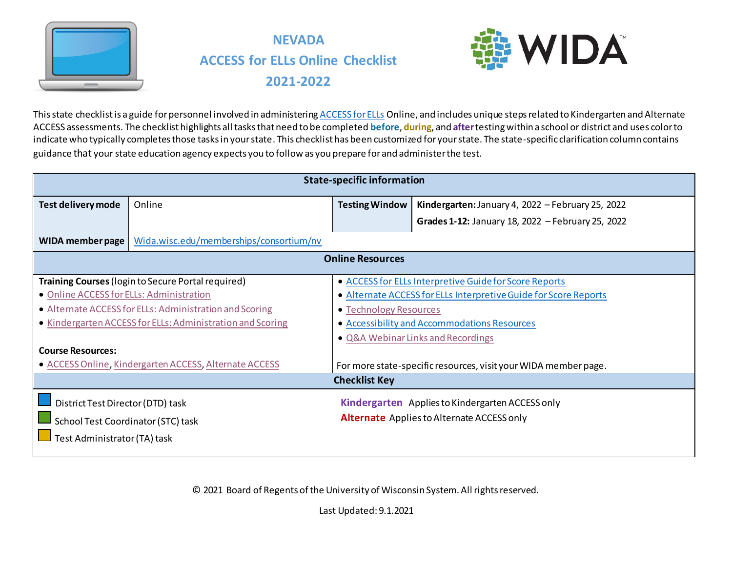



This state checklist is a guide for personnel involved in administerin[g ACCESS for ELLs](https://wida.wisc.edu/assess/access) Online, and includes unique steps related to Kindergarten and Alternate ACCESS assessments. The checklist highlights all tasks that need to be completed **before**, **during**, and **after**testing within a school or district and uses color to indicate who typically completes those tasks in your state. This checklist has been customized for your state. The state-specific clarification column contains guidance that your state education agency expects you to follow as you prepare for and administer the test.

| <b>State-specific information</b>                          |                                                           |                                                   |                                                                  |  |
|------------------------------------------------------------|-----------------------------------------------------------|---------------------------------------------------|------------------------------------------------------------------|--|
| Test delivery mode                                         | Online                                                    | <b>Testing Window</b>                             | Kindergarten: January 4, 2022 - February 25, 2022                |  |
|                                                            |                                                           |                                                   | Grades 1-12: January 18, 2022 - February 25, 2022                |  |
| WIDA member page                                           | Wida.wisc.edu/memberships/consortium/nv                   |                                                   |                                                                  |  |
|                                                            |                                                           | <b>Online Resources</b>                           |                                                                  |  |
|                                                            | <b>Training Courses (login to Secure Portal required)</b> |                                                   | • ACCESS for ELLs Interpretive Guide for Score Reports           |  |
| • Online ACCESS for ELLs: Administration                   |                                                           |                                                   | • Alternate ACCESS for ELLs Interpretive Guide for Score Reports |  |
|                                                            | • Alternate ACCESS for ELLs: Administration and Scoring   | • Technology Resources                            |                                                                  |  |
| • Kindergarten ACCESS for ELLs: Administration and Scoring |                                                           | • Accessibility and Accommodations Resources      |                                                                  |  |
|                                                            |                                                           |                                                   | • Q&A Webinar Links and Recordings                               |  |
| <b>Course Resources:</b>                                   |                                                           |                                                   |                                                                  |  |
|                                                            | • ACCESS Online, Kindergarten ACCESS, Alternate ACCESS    |                                                   | For more state-specific resources, visit your WIDA member page.  |  |
|                                                            |                                                           | <b>Checklist Key</b>                              |                                                                  |  |
| District Test Director (DTD) task                          |                                                           |                                                   | Kindergarten Applies to Kindergarten ACCESS only                 |  |
| School Test Coordinator (STC) task                         |                                                           | <b>Alternate</b> Applies to Alternate ACCESS only |                                                                  |  |
| Test Administrator (TA) task                               |                                                           |                                                   |                                                                  |  |
|                                                            |                                                           |                                                   |                                                                  |  |

© 2021 Board of Regents of the University of Wisconsin System. All rights reserved.

Last Updated: 9.1.2021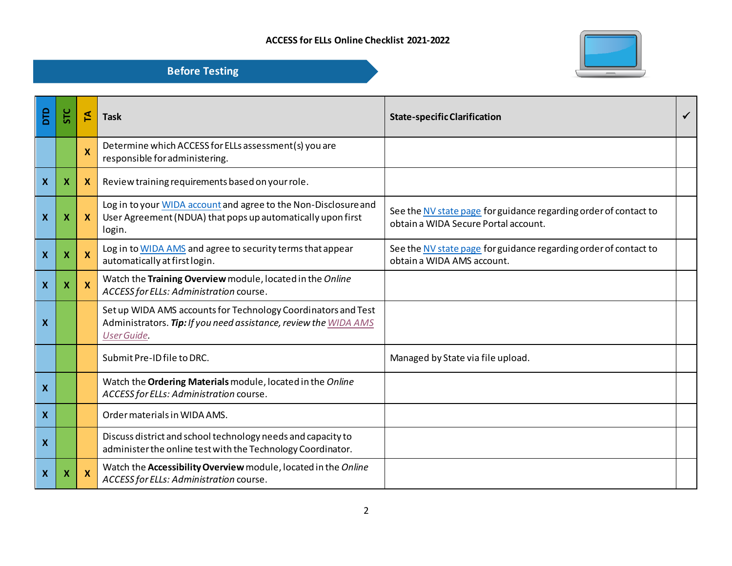

| Εp                        |   | 집                         | <b>Task</b>                                                                                                                                      | <b>State-specific Clarification</b>                                                                      | ✓ |
|---------------------------|---|---------------------------|--------------------------------------------------------------------------------------------------------------------------------------------------|----------------------------------------------------------------------------------------------------------|---|
|                           |   | $\boldsymbol{\mathsf{X}}$ | Determine which ACCESS for ELLs assessment(s) you are<br>responsible for administering.                                                          |                                                                                                          |   |
| $\boldsymbol{\mathsf{X}}$ | x | $\mathbf{x}$              | Review training requirements based on your role.                                                                                                 |                                                                                                          |   |
| X                         | х | $\mathbf{x}$              | Log in to your WIDA account and agree to the Non-Disclosure and<br>User Agreement (NDUA) that pops up automatically upon first<br>login.         | See the NV state page for guidance regarding order of contact to<br>obtain a WIDA Secure Portal account. |   |
| $\boldsymbol{\mathsf{x}}$ |   | $\mathbf{x}$              | Log in to WIDA AMS and agree to security terms that appear<br>automatically at first login.                                                      | See the NV state page for guidance regarding order of contact to<br>obtain a WIDA AMS account.           |   |
| $\boldsymbol{X}$          | х | $\mathbf{x}$              | Watch the Training Overview module, located in the Online<br>ACCESS for ELLs: Administration course.                                             |                                                                                                          |   |
| X                         |   |                           | Set up WIDA AMS accounts for Technology Coordinators and Test<br>Administrators. Tip: If you need assistance, review the WIDA AMS<br>User Guide. |                                                                                                          |   |
|                           |   |                           | Submit Pre-ID file to DRC.                                                                                                                       | Managed by State via file upload.                                                                        |   |
| $\boldsymbol{\mathsf{X}}$ |   |                           | Watch the Ordering Materials module, located in the Online<br>ACCESS for ELLs: Administration course.                                            |                                                                                                          |   |
| $\mathbf{x}$              |   |                           | Order materials in WIDA AMS.                                                                                                                     |                                                                                                          |   |
| $\boldsymbol{X}$          |   |                           | Discuss district and school technology needs and capacity to<br>administer the online test with the Technology Coordinator.                      |                                                                                                          |   |
| $\boldsymbol{X}$          |   | $\boldsymbol{\mathsf{x}}$ | Watch the Accessibility Overview module, located in the Online<br>ACCESS for ELLs: Administration course.                                        |                                                                                                          |   |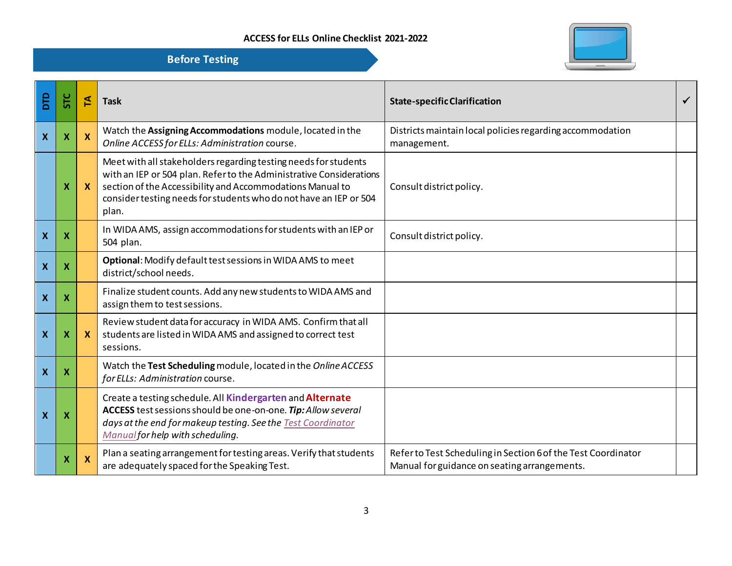

| <b>DTD</b>                | <b>STC</b>                | 돈            | <b>Task</b>                                                                                                                                                                                                                                                                       | <b>State-specific Clarification</b>                                                                           | ✓ |
|---------------------------|---------------------------|--------------|-----------------------------------------------------------------------------------------------------------------------------------------------------------------------------------------------------------------------------------------------------------------------------------|---------------------------------------------------------------------------------------------------------------|---|
| $\boldsymbol{\mathsf{X}}$ | X                         | X            | Watch the Assigning Accommodations module, located in the<br>Online ACCESS for ELLs: Administration course.                                                                                                                                                                       | Districts maintain local policies regarding accommodation<br>management.                                      |   |
|                           | X                         | $\mathbf{x}$ | Meet with all stakeholders regarding testing needs for students<br>with an IEP or 504 plan. Refer to the Administrative Considerations<br>section of the Accessibility and Accommodations Manual to<br>consider testing needs for students who do not have an IEP or 504<br>plan. | Consult district policy.                                                                                      |   |
| $\boldsymbol{\mathsf{X}}$ | $\boldsymbol{\mathsf{x}}$ |              | In WIDA AMS, assign accommodations for students with an IEP or<br>504 plan.                                                                                                                                                                                                       | Consult district policy.                                                                                      |   |
| $\pmb{\mathsf{X}}$        | X                         |              | Optional: Modify default test sessions in WIDA AMS to meet<br>district/school needs.                                                                                                                                                                                              |                                                                                                               |   |
| $\boldsymbol{\mathsf{X}}$ | X                         |              | Finalize student counts. Add any new students to WIDA AMS and<br>assign them to test sessions.                                                                                                                                                                                    |                                                                                                               |   |
| $\boldsymbol{\mathsf{X}}$ | X                         | $\mathbf{x}$ | Review student data for accuracy in WIDA AMS. Confirm that all<br>students are listed in WIDA AMS and assigned to correct test<br>sessions.                                                                                                                                       |                                                                                                               |   |
| $\boldsymbol{\mathsf{x}}$ | X                         |              | Watch the Test Scheduling module, located in the Online ACCESS<br>for ELLs: Administration course.                                                                                                                                                                                |                                                                                                               |   |
| X                         | X                         |              | Create a testing schedule. All Kindergarten and Alternate<br>ACCESS test sessions should be one-on-one. Tip: Allow several<br>days at the end for makeup testing. See the Test Coordinator<br>Manual for help with scheduling.                                                    |                                                                                                               |   |
|                           | X                         | X            | Plan a seating arrangement for testing areas. Verify that students<br>are adequately spaced for the Speaking Test.                                                                                                                                                                | Refer to Test Scheduling in Section 6 of the Test Coordinator<br>Manual for guidance on seating arrangements. |   |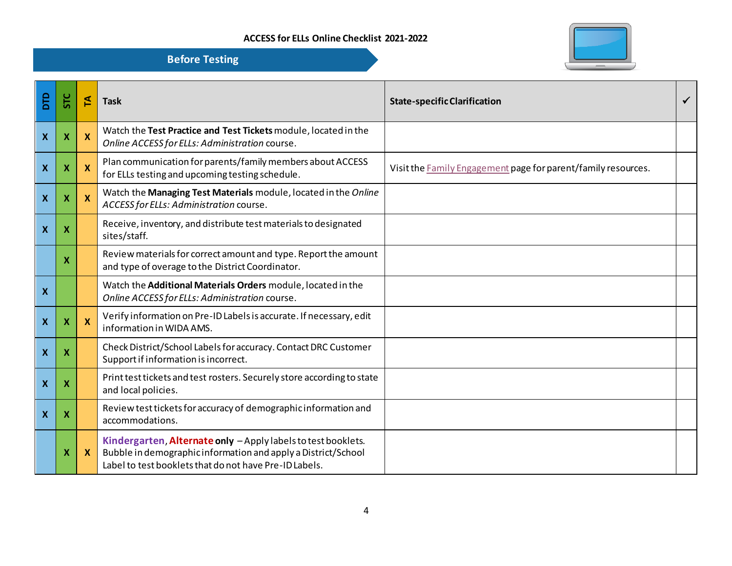

| Бp                        | 5TC                       | F        | <b>Task</b>                                                                                                                                                                              | <b>State-specific Clarification</b>                           | ✓ |
|---------------------------|---------------------------|----------|------------------------------------------------------------------------------------------------------------------------------------------------------------------------------------------|---------------------------------------------------------------|---|
| $\boldsymbol{X}$          | $\boldsymbol{\mathsf{x}}$ | X        | Watch the Test Practice and Test Tickets module, located in the<br>Online ACCESS for ELLs: Administration course.                                                                        |                                                               |   |
| $\boldsymbol{\mathsf{X}}$ | X                         | X        | Plan communication for parents/family members about ACCESS<br>for ELLs testing and upcoming testing schedule.                                                                            | Visit the Family Engagement page for parent/family resources. |   |
| $\boldsymbol{\mathsf{X}}$ | X                         | <b>X</b> | Watch the Managing Test Materials module, located in the Online<br>ACCESS for ELLs: Administration course.                                                                               |                                                               |   |
| $\boldsymbol{\mathsf{x}}$ | X                         |          | Receive, inventory, and distribute test materials to designated<br>sites/staff.                                                                                                          |                                                               |   |
|                           | X                         |          | Review materials for correct amount and type. Report the amount<br>and type of overage to the District Coordinator.                                                                      |                                                               |   |
| $\boldsymbol{\mathsf{X}}$ |                           |          | Watch the Additional Materials Orders module, located in the<br>Online ACCESS for ELLs: Administration course.                                                                           |                                                               |   |
| $\boldsymbol{X}$          | $\boldsymbol{\mathsf{x}}$ | X        | Verify information on Pre-ID Labels is accurate. If necessary, edit<br>information in WIDA AMS.                                                                                          |                                                               |   |
| $\boldsymbol{\mathsf{X}}$ | $\boldsymbol{\mathsf{X}}$ |          | Check District/School Labels for accuracy. Contact DRC Customer<br>Support if information is incorrect.                                                                                  |                                                               |   |
| $\boldsymbol{\mathsf{x}}$ | X                         |          | Print test tickets and test rosters. Securely store according to state<br>and local policies.                                                                                            |                                                               |   |
| $\boldsymbol{\mathsf{X}}$ | $\boldsymbol{\mathsf{X}}$ |          | Review test tickets for accuracy of demographic information and<br>accommodations.                                                                                                       |                                                               |   |
|                           | x                         | X        | Kindergarten, Alternate only - Apply labels to test booklets.<br>Bubble in demographic information and apply a District/School<br>Label to test booklets that do not have Pre-ID Labels. |                                                               |   |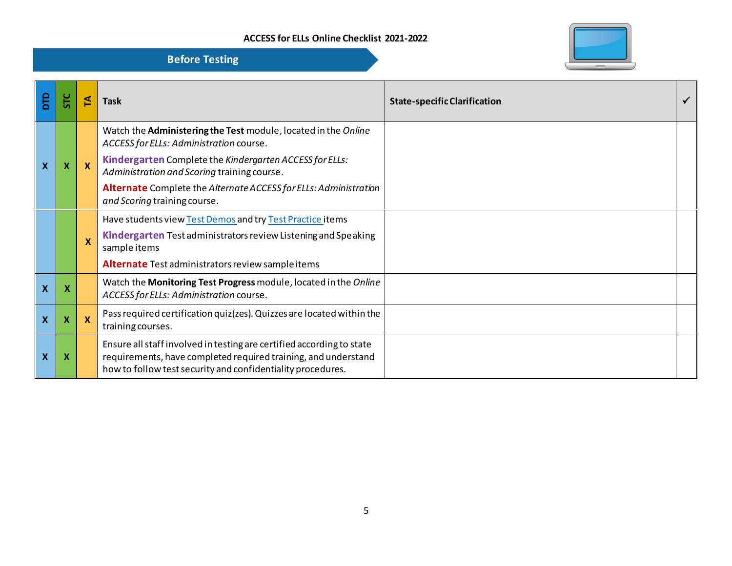| <b>SP</b>                 |   | 14           | <b>Task</b>                                                                                                                                                                                            | <b>State-specific Clarification</b> |  |
|---------------------------|---|--------------|--------------------------------------------------------------------------------------------------------------------------------------------------------------------------------------------------------|-------------------------------------|--|
|                           |   |              | Watch the Administering the Test module, located in the Online<br>ACCESS for ELLs: Administration course.                                                                                              |                                     |  |
| X                         | X | $\mathbf{x}$ | Kindergarten Complete the Kindergarten ACCESS for ELLs:<br>Administration and Scoring training course.                                                                                                 |                                     |  |
|                           |   |              | Alternate Complete the Alternate ACCESS for ELLs: Administration<br>and Scoring training course.                                                                                                       |                                     |  |
|                           |   |              | Have students view Test Demos and try Test Practice items                                                                                                                                              |                                     |  |
|                           |   | X            | Kindergarten Test administrators review Listening and Speaking<br>sample items                                                                                                                         |                                     |  |
|                           |   |              | Alternate Test administrators review sample items                                                                                                                                                      |                                     |  |
| $\boldsymbol{\mathsf{X}}$ | X |              | Watch the Monitoring Test Progress module, located in the Online<br>ACCESS for ELLs: Administration course.                                                                                            |                                     |  |
| X                         | X | <b>X</b>     | Pass required certification quiz (zes). Quizzes are located within the<br>training courses.                                                                                                            |                                     |  |
| X                         | X |              | Ensure all staff involved in testing are certified according to state<br>requirements, have completed required training, and understand<br>how to follow test security and confidentiality procedures. |                                     |  |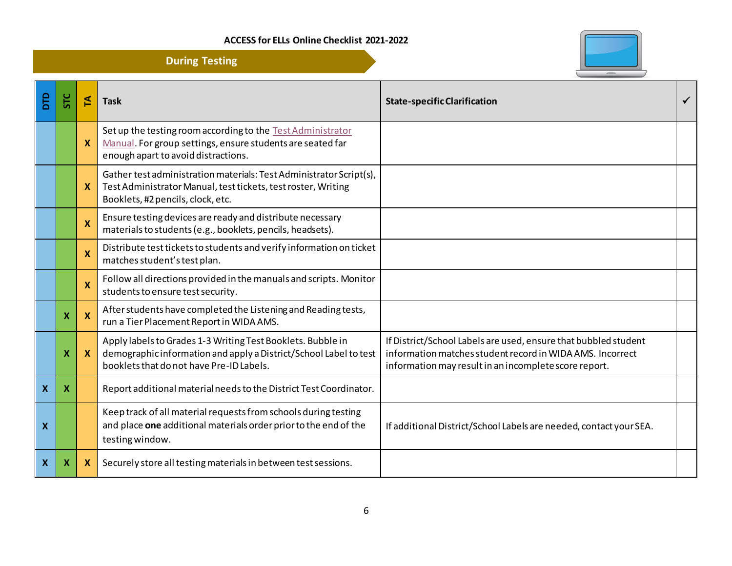

|                           |                           |                           | <b>During Testing</b>                                                                                                                                                        |                                                                                                                                                                                       |              |
|---------------------------|---------------------------|---------------------------|------------------------------------------------------------------------------------------------------------------------------------------------------------------------------|---------------------------------------------------------------------------------------------------------------------------------------------------------------------------------------|--------------|
| <b>DTD</b>                | <b>STC</b>                | 집                         | <b>Task</b>                                                                                                                                                                  | <b>State-specific Clarification</b>                                                                                                                                                   | $\checkmark$ |
|                           |                           | X                         | Set up the testing room according to the Test Administrator<br>Manual. For group settings, ensure students are seated far<br>enough apart to avoid distractions.             |                                                                                                                                                                                       |              |
|                           |                           | X                         | Gather test administration materials: Test Administrator Script(s),<br>Test Administrator Manual, test tickets, test roster, Writing<br>Booklets, #2 pencils, clock, etc.    |                                                                                                                                                                                       |              |
|                           |                           | X                         | Ensure testing devices are ready and distribute necessary<br>materials to students (e.g., booklets, pencils, headsets).                                                      |                                                                                                                                                                                       |              |
|                           |                           | $\boldsymbol{\mathsf{x}}$ | Distribute test tickets to students and verify information on ticket<br>matches student's test plan.                                                                         |                                                                                                                                                                                       |              |
|                           |                           | X                         | Follow all directions provided in the manuals and scripts. Monitor<br>students to ensure test security.                                                                      |                                                                                                                                                                                       |              |
|                           | $\boldsymbol{\mathsf{x}}$ | X                         | After students have completed the Listening and Reading tests,<br>run a Tier Placement Report in WIDA AMS.                                                                   |                                                                                                                                                                                       |              |
|                           | X                         | X                         | Apply labels to Grades 1-3 Writing Test Booklets. Bubble in<br>demographic information and apply a District/School Label to test<br>booklets that do not have Pre-ID Labels. | If District/School Labels are used, ensure that bubbled student<br>information matches student record in WIDA AMS. Incorrect<br>information may result in an incomplete score report. |              |
| $\mathbf{x}$              | $\boldsymbol{X}$          |                           | Report additional material needs to the District Test Coordinator.                                                                                                           |                                                                                                                                                                                       |              |
| $\boldsymbol{\mathsf{X}}$ |                           |                           | Keep track of all material requests from schools during testing<br>and place one additional materials order prior to the end of the<br>testing window.                       | If additional District/School Labels are needed, contact your SEA.                                                                                                                    |              |
| $\mathbf{x}$              | $\boldsymbol{\mathsf{X}}$ | X                         | Securely store all testing materials in between test sessions.                                                                                                               |                                                                                                                                                                                       |              |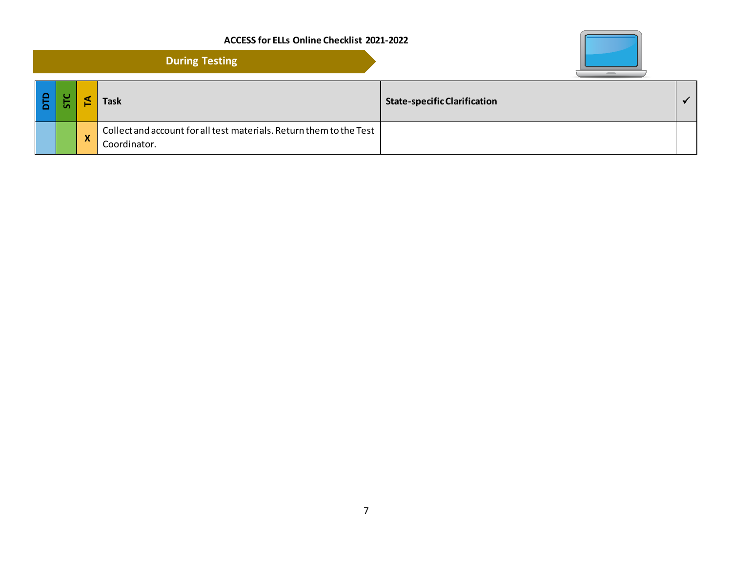|     |                           | <b>During Testing</b>                                                               |                                     |           |
|-----|---------------------------|-------------------------------------------------------------------------------------|-------------------------------------|-----------|
| ہ ا |                           | <b>Task</b>                                                                         | <b>State-specific Clarification</b> | $\sqrt{}$ |
|     | $\boldsymbol{\mathsf{x}}$ | Collect and account for all test materials. Return them to the Test<br>Coordinator. |                                     |           |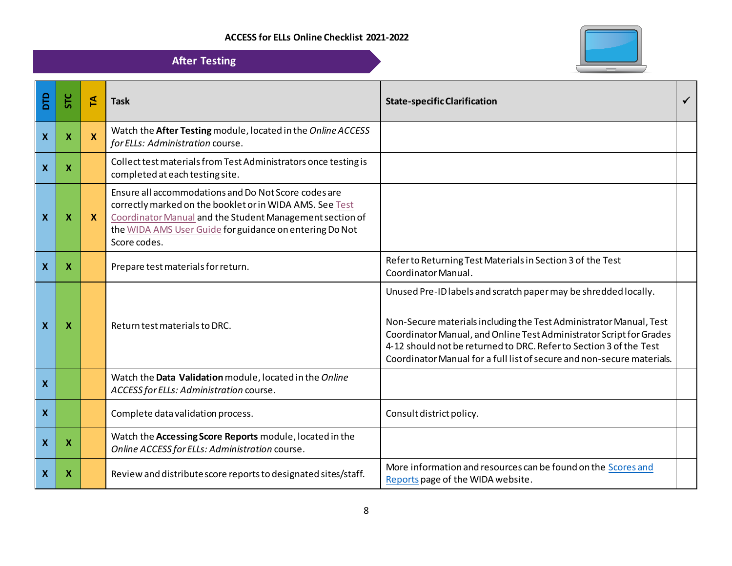

|                           |                           |                    | <b>After Testing</b>                                                                                                                                                                                                                                    |                                                                                                                                                                                                                                                                                                                                                              |   |
|---------------------------|---------------------------|--------------------|---------------------------------------------------------------------------------------------------------------------------------------------------------------------------------------------------------------------------------------------------------|--------------------------------------------------------------------------------------------------------------------------------------------------------------------------------------------------------------------------------------------------------------------------------------------------------------------------------------------------------------|---|
| <b>DTD</b>                | STC                       | $\mathbf{A}$       | <b>Task</b>                                                                                                                                                                                                                                             | <b>State-specific Clarification</b>                                                                                                                                                                                                                                                                                                                          | ✓ |
| $\boldsymbol{X}$          | $\boldsymbol{\mathsf{x}}$ | $\pmb{\mathsf{X}}$ | Watch the After Testing module, located in the Online ACCESS<br>for ELLs: Administration course.                                                                                                                                                        |                                                                                                                                                                                                                                                                                                                                                              |   |
| $\mathbf{X}$              | $\boldsymbol{X}$          |                    | Collect test materials from Test Administrators once testing is<br>completed at each testing site.                                                                                                                                                      |                                                                                                                                                                                                                                                                                                                                                              |   |
| $\mathbf{x}$              | $\boldsymbol{\mathsf{x}}$ | $\boldsymbol{X}$   | Ensure all accommodations and Do Not Score codes are<br>correctly marked on the booklet or in WIDA AMS. See Test<br>Coordinator Manual and the Student Management section of<br>the WIDA AMS User Guide for guidance on entering Do Not<br>Score codes. |                                                                                                                                                                                                                                                                                                                                                              |   |
| $\mathbf{x}$              | X                         |                    | Prepare test materials for return.                                                                                                                                                                                                                      | Refer to Returning Test Materials in Section 3 of the Test<br>Coordinator Manual.                                                                                                                                                                                                                                                                            |   |
| $\mathbf{x}$              | X                         |                    | Return test materials to DRC.                                                                                                                                                                                                                           | Unused Pre-ID labels and scratch paper may be shredded locally.<br>Non-Secure materials including the Test Administrator Manual, Test<br>Coordinator Manual, and Online Test Administrator Script for Grades<br>4-12 should not be returned to DRC. Refer to Section 3 of the Test<br>Coordinator Manual for a full list of secure and non-secure materials. |   |
| $\mathbf{x}$              |                           |                    | Watch the Data Validation module, located in the Online<br>ACCESS for ELLs: Administration course.                                                                                                                                                      |                                                                                                                                                                                                                                                                                                                                                              |   |
| $\mathbf{X}$              |                           |                    | Complete data validation process.                                                                                                                                                                                                                       | Consult district policy.                                                                                                                                                                                                                                                                                                                                     |   |
| $\mathbf{x}$              | $\boldsymbol{X}$          |                    | Watch the Accessing Score Reports module, located in the<br>Online ACCESS for ELLs: Administration course.                                                                                                                                              |                                                                                                                                                                                                                                                                                                                                                              |   |
| $\boldsymbol{\mathsf{X}}$ | X                         |                    | Review and distribute score reports to designated sites/staff.                                                                                                                                                                                          | More information and resources can be found on the Scores and<br>Reports page of the WIDA website.                                                                                                                                                                                                                                                           |   |